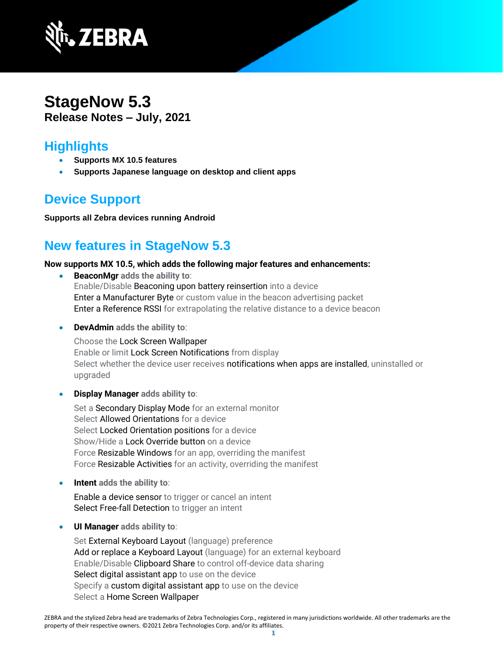

### **StageNow 5.3 Release Notes – July, 2021**

### **Highlights**

- **Supports MX 10.5 features**
- **Supports Japanese language on desktop and client apps**

## **Device Support**

**Supports all Zebra devices running Android**

## **New features in StageNow 5.3**

#### **Now supports MX 10.5, which adds the following major features and enhancements:**

- **BeaconMgr adds the ability to**: Enable/Disable Beaconing upon battery reinsertion into a device Enter a Manufacturer Byte or custom value in the beacon advertising packet Enter a Reference RSSI for extrapolating the relative distance to a device beacon
- **DevAdmin adds the ability to**:

Choose the Lock Screen Wallpaper Enable or limit Lock Screen Notifications from display Select whether the device user receives notifications when apps are installed, uninstalled or upgraded

• **Display Manager adds ability to**:

Set a Secondary Display Mode for an external monitor Select Allowed Orientations for a device Select Locked Orientation positions for a device Show/Hide a Lock Override button on a device Force Resizable Windows for an app, overriding the manifest Force Resizable Activities for an activity, overriding the manifest

• **Intent adds the ability to**:

Enable a device sensor to trigger or cancel an intent Select Free-fall Detection to trigger an intent

• **UI Manager adds ability to**:

Set External Keyboard Layout (language) preference Add or replace a Keyboard Layout (language) for an external keyboard Enable/Disable Clipboard Share to control off-device data sharing Select digital assistant app to use on the device Specify a custom digital assistant app to use on the device Select a Home Screen Wallpaper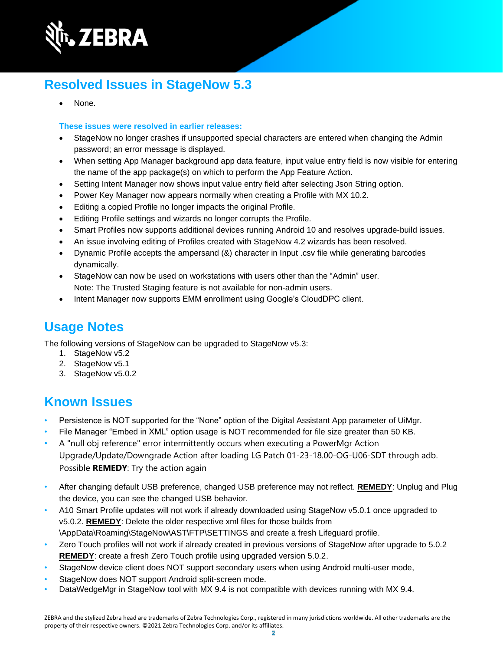

# **Resolved Issues in StageNow 5.3**

None.

#### **These issues were resolved in earlier releases:**

- StageNow no longer crashes if unsupported special characters are entered when changing the Admin password; an error message is displayed.
- When setting App Manager background app data feature, input value entry field is now visible for entering the name of the app package(s) on which to perform the App Feature Action.
- Setting Intent Manager now shows input value entry field after selecting Json String option.
- Power Key Manager now appears normally when creating a Profile with MX 10.2.
- Editing a copied Profile no longer impacts the original Profile.
- Editing Profile settings and wizards no longer corrupts the Profile.
- Smart Profiles now supports additional devices running Android 10 and resolves upgrade-build issues.
- An issue involving editing of Profiles created with StageNow 4.2 wizards has been resolved.
- Dynamic Profile accepts the ampersand (&) character in Input .csv file while generating barcodes dynamically.
- StageNow can now be used on workstations with users other than the "Admin" user. Note: The Trusted Staging feature is not available for non-admin users.
- Intent Manager now supports EMM enrollment using Google's CloudDPC client.

# **Usage Notes**

The following versions of StageNow can be upgraded to StageNow v5.3:

- 1. StageNow v5.2
- 2. StageNow v5.1
- 3. StageNow v5.0.2

### **Known Issues**

- Persistence is NOT supported for the "None" option of the Digital Assistant App parameter of UiMgr.
- File Manager "Embed in XML" option usage is NOT recommended for file size greater than 50 KB.
- A "null obj reference" error intermittently occurs when executing a PowerMgr Action Upgrade/Update/Downgrade Action after loading LG Patch 01-23-18.00-OG-U06-SDT through adb. Possible **REMEDY**: Try the action again
- After changing default USB preference, changed USB preference may not reflect. **REMEDY**: Unplug and Plug the device, you can see the changed USB behavior.
- A10 Smart Profile updates will not work if already downloaded using StageNow v5.0.1 once upgraded to v5.0.2. **REMEDY**: Delete the older respective xml files for those builds from \AppData\Roaming\StageNow\AST\FTP\SETTINGS and create a fresh Lifeguard profile.
- Zero Touch profiles will not work if already created in previous versions of StageNow after upgrade to 5.0.2 **REMEDY:** create a fresh Zero Touch profile using upgraded version 5.0.2.
- StageNow device client does NOT support secondary users when using Android multi-user mode,
- StageNow does NOT support Android split-screen mode.
- DataWedgeMgr in StageNow tool with MX 9.4 is not compatible with devices running with MX 9.4.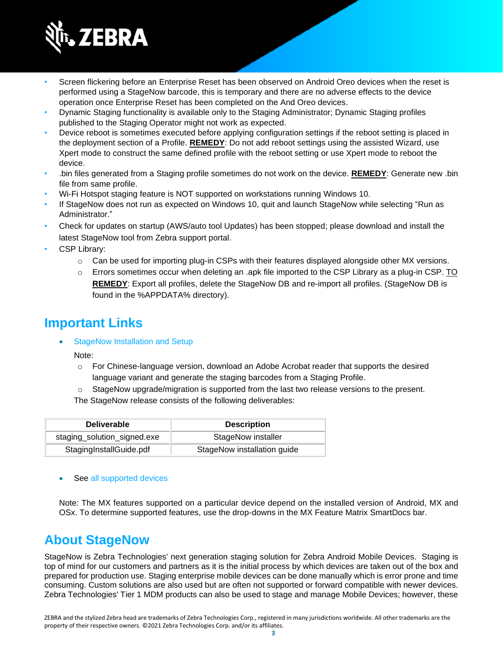

- Screen flickering before an Enterprise Reset has been observed on Android Oreo devices when the reset is performed using a StageNow barcode, this is temporary and there are no adverse effects to the device operation once Enterprise Reset has been completed on the And Oreo devices.
- Dynamic Staging functionality is available only to the Staging Administrator; Dynamic Staging profiles published to the Staging Operator might not work as expected.
- Device reboot is sometimes executed before applying configuration settings if the reboot setting is placed in the deployment section of a Profile. **REMEDY**: Do not add reboot settings using the assisted Wizard, use Xpert mode to construct the same defined profile with the reboot setting or use Xpert mode to reboot the device.
- .bin files generated from a Staging profile sometimes do not work on the device. **REMEDY**: Generate new .bin file from same profile.
- Wi-Fi Hotspot staging feature is NOT supported on workstations running Windows 10.
- If StageNow does not run as expected on Windows 10, quit and launch StageNow while selecting "Run as Administrator."
- Check for updates on startup (AWS/auto tool Updates) has been stopped; please download and install the latest StageNow tool from Zebra support portal.
- CSP Library:
	- $\circ$  Can be used for importing plug-in CSPs with their features displayed alongside other MX versions.
	- $\circ$  Errors sometimes occur when deleting an .apk file imported to the CSP Library as a plug-in CSP. TO **REMEDY**: Export all profiles, delete the StageNow DB and re-import all profiles. (StageNow DB is found in the %APPDATA% directory).

### **Important Link[s](http://techdocs.zebra.com/stagenow/)**

[StageNow Installation and Setup](http://techdocs.zebra.com/stagenow/latest/installing/)

Note:

- o For Chinese-language version, download an Adobe Acrobat reader that supports the desired language variant and generate the staging barcodes from a Staging Profile.
- o StageNow upgrade/migration is supported from the last two release versions to the present.

The StageNow release consists of the following deliverables:

| <b>Deliverable</b>          | <b>Description</b>          |
|-----------------------------|-----------------------------|
| staging_solution_signed.exe | StageNow installer          |
| StagingInstallGuide.pdf     | StageNow installation guide |

See [all supported devices](http://techdocs.zebra.com/stagenow/)

Note: The MX features supported on a particular device depend on the installed version of Android, MX and OSx. To determine supported features, use the drop-downs in the [MX Feature Matrix](http://techdocs.zebra.com/mx/compatibility/) SmartDocs bar.

### **About StageNow**

StageNow is Zebra Technologies' next generation staging solution for Zebra Android Mobile Devices. Staging is top of mind for our customers and partners as it is the initial process by which devices are taken out of the box and prepared for production use. Staging enterprise mobile devices can be done manually which is error prone and time consuming. Custom solutions are also used but are often not supported or forward compatible with newer devices. Zebra Technologies' Tier 1 MDM products can also be used to stage and manage Mobile Devices; however, these